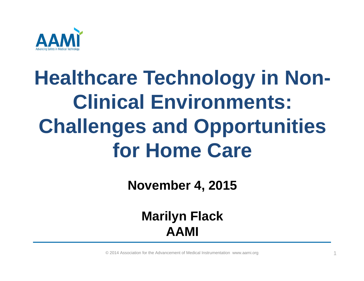

# **Healthcare Technology in Non-Clinical Environments: Challenges and Opportunities for Home Care**

**November 4, 2015**

#### **Marilyn Flack AAMI**

© 2014 Association for the Advancement of Medical Instrumentation www.aami.org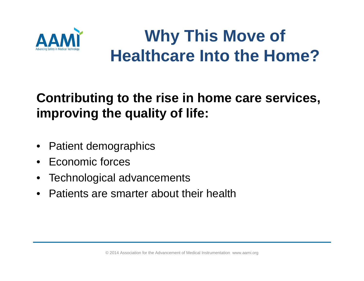

# **Why This Move of Healthcare Into the Home?**

#### **Contributing to the rise in home care services, improving the quality of life:**

- •Patient demographics
- $\bullet$ Economic forces
- $\bullet$ Technological advancements
- $\bullet$ Patients are smarter about their health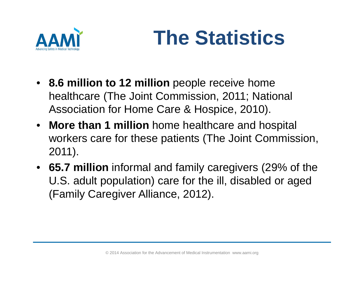

# **The Statistics**

- **8.6 million to 12 million** people receive home healthcare (The Joint Commission, 2011; National Association for Home Care & Hospice, 2010).
- **More than 1 million** home healthcare and hospital workers care for these patients (The Joint Commission, 2011).
- **65.7 million** informal and family caregivers (29% of the U.S. adult population) care for the ill, disabled or aged (Family Caregiver Alliance, 2012).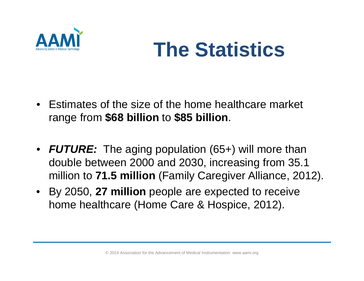

# **The Statistics**

- Estimates of the size of the home healthcare market range from **\$68 billion** to **\$85 billion**.
- *FUTURE:* The aging population (65+) will more than double between 2000 and 2030, increasing from 35.1 million to **71.5 million** (Family Caregiver Alliance, 2012).
- By 2050, **27 million** people are expected to receive home healthcare (Home Care & Hospice, 2012).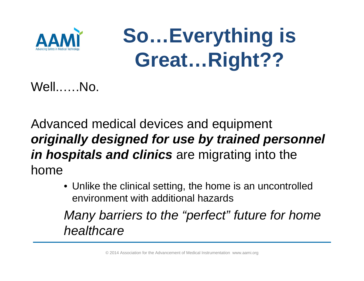

**So…Everything is Great…Right??**

Well..….No.

Advanced medical devices and equipment *originally designed for use by trained personnel in hospitals and clinics* are migrating into the home

> • Unlike the clinical setting, the home is an uncontrolled environment with additional hazards

*Many barriers to the "perfect" future for home healthcare*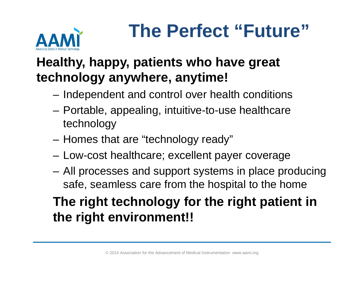

# **The Perfect "Future"**

#### **Healthy, happy, patients who have great technology anywhere, anytime!**

- –Independent and control over health conditions
- – Portable, appealing, intuitive-to-use healthcare technology
- Homes that are "technology ready"
- Low-cost healthcare; excellent payer coverage
- All processes and support systems in place producing safe, seamless care from the hospital to the home

### **The right technology for the right patient in the right environment!!**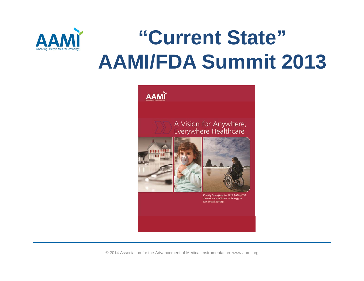

# **"Current State" AAMI/FDA Summit 2013**



© 2014 Association for the Advancement of Medical Instrumentation www.aami.org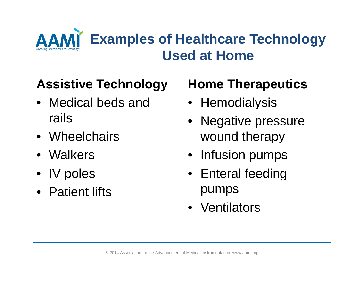

### **Assistive Technology**

- Medical beds and rails
- Wheelchairs
- Walkers
- IV poles
- Patient lifts

### **Home Therapeutics**

- Hemodialysis
- Negative pressure wound therapy
- Infusion pumps
- Enteral feeding pumps
- Ventilators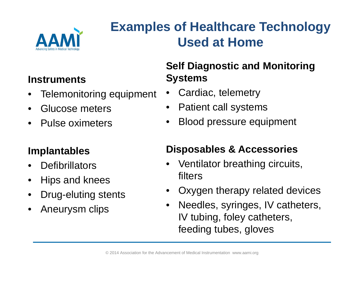

### **Examples of Healthcare Technology Used at Home**

#### **Instruments**

- •Telemonitoring equipment
- $\bullet$ Glucose meters
- $\bullet$ Pulse oximeters

#### **Implantables**

- $\bullet$ **Defibrillators**
- $\bullet$ Hips and knees
- $\bullet$ Drug-eluting stents
- $\bullet$ Aneurysm clips

#### **Self Diagnostic and Monitoring Systems**

- •Cardiac, telemetry
- $\bullet$ Patient call systems
- •Blood pressure equipment

#### **Disposables & Accessories**

- • Ventilator breathing circuits, filters
- $\bullet$ Oxygen therapy related devices
- $\bullet$  Needles, syringes, IV catheters, IV tubing, foley catheters, feeding tubes, gloves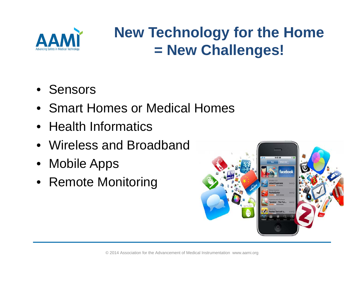

# **New Technology for the Home = New Challenges!**

- Sensors
- Smart Homes or Medical Homes
- Health Informatics
- Wireless and Broadband
- Mobile Apps
- Remote Monitoring

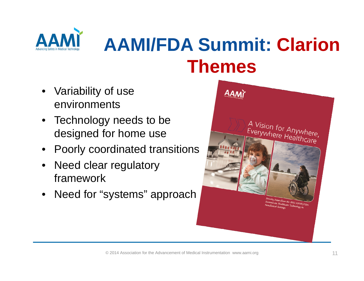

# **AAMI/FDA Summit: Clarion Themes**

- Variability of use environments
- Technology needs to be designed for home use
- Poorly coordinated transitions
- Need clear regulatory framework
- Need for "systems" approach

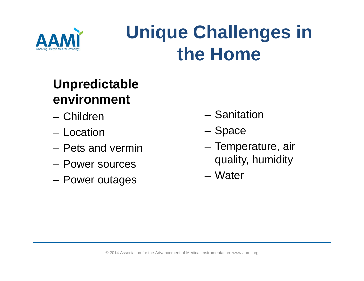

# **Unique Challenges in the Home**

### **Unpredictable environment**

- Children
- Location
- Pets and vermin
- Power sources
- Power outages
- Sanitation
- Space
- – Temperature, air quality, humidity
- Water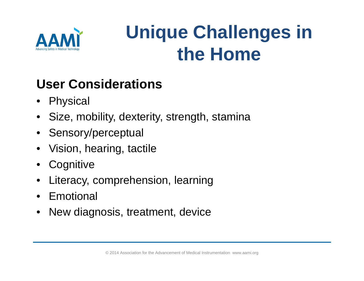

# **Unique Challenges in the Home**

### **User Considerations**

- Physical
- $\bullet$ Size, mobility, dexterity, strength, stamina
- Sensory/perceptual
- $\bullet$ Vision, hearing, tactile
- $\bullet$ **Cognitive**
- $\bullet$ Literacy, comprehension, learning
- Emotional
- $\bullet$ New diagnosis, treatment, device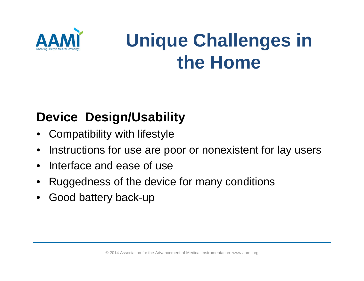

# **Unique Challenges in the Home**

### **Device Design/Usability**

- $\bullet$ Compatibility with lifestyle
- $\bullet$ Instructions for use are poor or nonexistent for lay users
- $\bullet$ Interface and ease of use
- •Ruggedness of the device for many conditions
- $\bullet$ Good battery back-up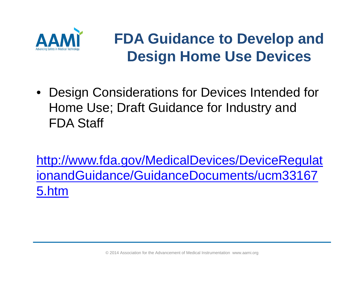

## **FDA Guidance to Develop and Design Home Use Devices**

• Design Considerations for Devices Intended for Home Use; Draft Guidance for Industry and FDA Staff

http://www.fda.gov/MedicalDevices/DeviceRegulat ionandGuidance/GuidanceDocuments/ucm33167 5.htm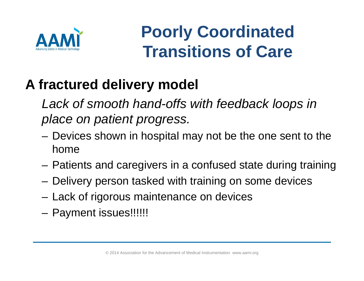

# **Poorly Coordinated Transitions of Care**

## **A fractured delivery model**

Lack of smooth hand-offs with feedback loops in *place on patient progress.*

- Devices shown in hospital may not be the one sent to the home
- Patients and caregivers in a confused state during training
- Delivery person tasked with training on some devices
- Lack of rigorous maintenance on devices
- Payment issues!!!!!!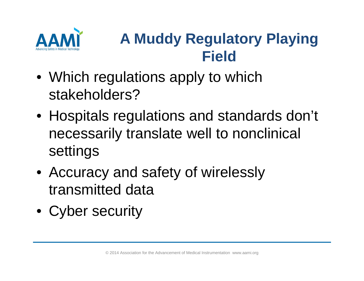

# **A Muddy Regulatory Playing Field**

- Which regulations apply to which stakeholders?
- Hospitals regulations and standards don't necessarily translate well to nonclinical settings
- Accuracy and safety of wirelessly transmitted data
- Cyber security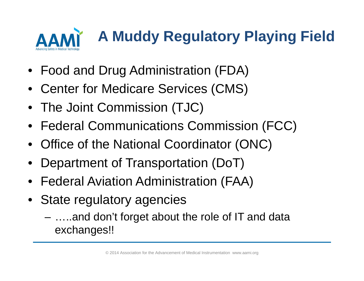

- Food and Drug Administration (FDA)
- $\bullet$ Center for Medicare Services (CMS)
- The Joint Commission (TJC)
- Federal Communications Commission (FCC)
- Office of the National Coordinator (ONC)
- •Department of Transportation (DoT)
- Federal Aviation Administration (FAA)
- • State regulatory agencies
	- …..and don't forget about the role of IT and data exchanges!!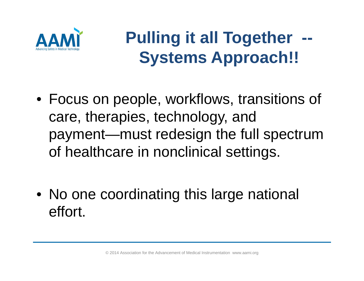

# **Pulling it all Together Systems Approach!!**

- Focus on people, workflows, transitions of care, therapies, technology, and payment—must redesign the full spectrum of healthcare in nonclinical settings.
- No one coordinating this large national effort.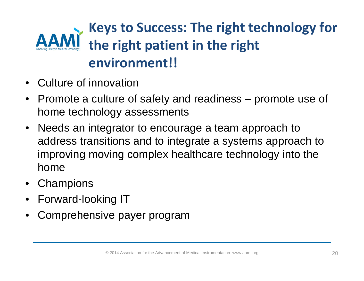## **Keys to Success: The right technology for the right patient in the right environment!!**

- •Culture of innovation
- $\bullet$  Promote a culture of safety and readiness – promote use of home technology assessments
- Needs an integrator to encourage a team approach to address transitions and to integrate a systems approach to improving moving complex healthcare technology into the home
- Champions
- •Forward-looking IT
- •Comprehensive payer program